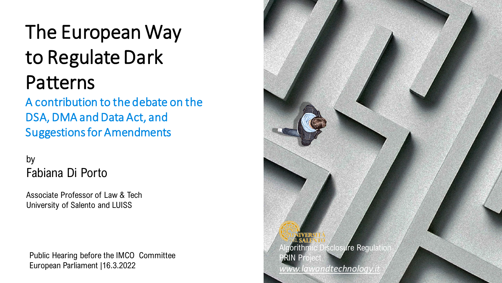### The European Way to Regulate Dark Patterns

A contribution to the debate on the DSA, DMA and Data Act, and Suggestions for Amendments

#### by Fabiana Di Porto

Associate Professor of Law & Tech University of Salento and LUISS

Public Hearing before the IMCO Committee European Parliament |16.3.2022

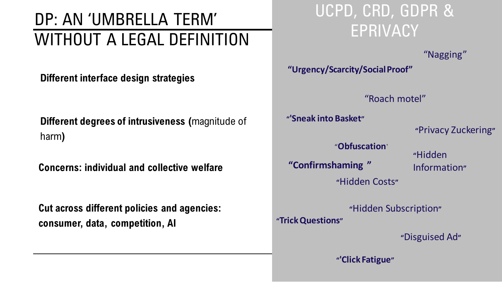### DP: AN 'UMBRELLA TERM' WITHOUT A LEGAL DEFINITION

**Different interface design strategies**

**Different degrees of intrusiveness (**magnitude of harm**)**

**Concerns: individual and collective welfare**

**Cut across different policies and agencies: consumer, data, competition, AI**

#### UCPD, CRD, GDPR & EPRIVACY

"Nagging"

**"Urgency/Scarcity/Social Proof"**

"Roach motel"

**"'Sneak into Basket"**

**"**Privacy Zuckering**"**

"**Obfuscation**' **"Confirmshaming "**

**"**Hidden Information**"**

**"**Hidden Costs**"**

**"**Hidden Subscription**"**

**"Trick Questions"**

**"**Disguised Ad**"**

**"'Click Fatigue"**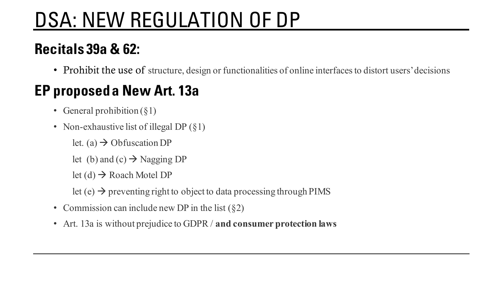## DSA: NEW REGULATION OF DP

#### **Recitals 39a & 62:**

• Prohibit the use of structure, design or functionalities of online interfaces to distort users' decisions

#### **EP proposed a New Art. 13a**

- General prohibition  $(\S1)$
- Non-exhaustive list of illegal DP  $(\S1)$ 
	- let. (a)  $\rightarrow$  Obfuscation DP
	- let (b) and (c)  $\rightarrow$  Nagging DP
	- let  $(d) \rightarrow$  Roach Motel DP
	- let  $(e) \rightarrow$  preventing right to object to data processing through PIMS
- Commission can include new DP in the list  $(\S 2)$
- Art. 13a is without prejudice to GDPR / **and consumer protection laws**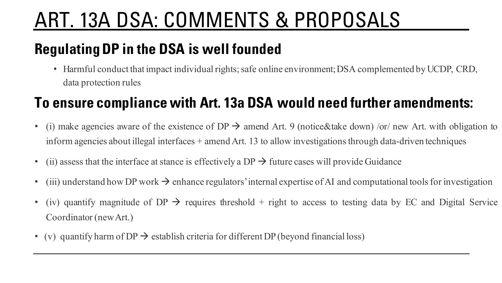### ART. 13A DSA: COMMENTS & PROPOSALS

#### **Regulating DP in the DSA is well founded**

• Harmful conduct that impact individual rights; safe online environment; DSA complemented by UCDP, CRD, data protection rules

#### **To ensure compliance with Art. 13a DSA would need further amendments:**

- (i) make agencies aware of the existence of DP  $\rightarrow$  amend Art. 9 (notice&take down) /or/ new Art. with obligation to inform agencies about illegal interfaces + amend Art. 13 to allow investigationsthrough data-driven techniques
- (ii) assess that the interface at stance is effectively a DP  $\rightarrow$  future cases will provide Guidance
- (iii) understand how DP work  $\rightarrow$  enhance regulators' internal expertise of AI and computational tools for investigation
- (iv) quantify magnitude of  $DP \rightarrow$  requires threshold + right to access to testing data by EC and Digital Service Coordinator (newArt.)
- (v) quantify harm of DP  $\rightarrow$  establish criteria for different DP (beyond financial loss)